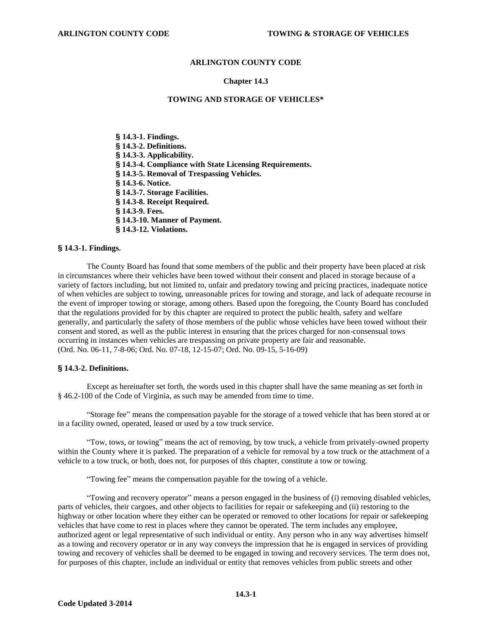# **ARLINGTON COUNTY CODE**

#### **Chapter 14.3**

#### **TOWING AND STORAGE OF VEHICLES\***

**§ 14.3-1. Findings. § 14.3-2. Definitions. § 14.3-3. Applicability. § 14.3-4. Compliance with State Licensing Requirements. § 14.3-5. Removal of Trespassing Vehicles. § 14.3-6. Notice. § 14.3-7. Storage Facilities. § 14.3-8. Receipt Required. § 14.3-9. Fees. § 14.3-10. Manner of Payment. § 14.3-12. Violations.** 

#### **§ 14.3-1. Findings.**

 The County Board has found that some members of the public and their property have been placed at risk in circumstances where their vehicles have been towed without their consent and placed in storage because of a variety of factors including, but not limited to, unfair and predatory towing and pricing practices, inadequate notice of when vehicles are subject to towing, unreasonable prices for towing and storage, and lack of adequate recourse in the event of improper towing or storage, among others. Based upon the foregoing, the County Board has concluded that the regulations provided for by this chapter are required to protect the public health, safety and welfare generally, and particularly the safety of those members of the public whose vehicles have been towed without their consent and stored, as well as the public interest in ensuring that the prices charged for non-consensual tows occurring in instances when vehicles are trespassing on private property are fair and reasonable. (Ord. No. 06-11, 7-8-06; Ord. No. 07-18, 12-15-07; Ord. No. 09-15, 5-16-09)

#### **§ 14.3-2. Definitions.**

Except as hereinafter set forth, the words used in this chapter shall have the same meaning as set forth in § 46.2-100 of the Code of Virginia, as such may be amended from time to time.

"Storage fee" means the compensation payable for the storage of a towed vehicle that has been stored at or in a facility owned, operated, leased or used by a tow truck service.

"Tow, tows, or towing" means the act of removing, by tow truck, a vehicle from privately-owned property within the County where it is parked. The preparation of a vehicle for removal by a tow truck or the attachment of a vehicle to a tow truck, or both, does not, for purposes of this chapter, constitute a tow or towing.

"Towing fee" means the compensation payable for the towing of a vehicle.

"Towing and recovery operator" means a person engaged in the business of (i) removing disabled vehicles, parts of vehicles, their cargoes, and other objects to facilities for repair or safekeeping and (ii) restoring to the highway or other location where they either can be operated or removed to other locations for repair or safekeeping vehicles that have come to rest in places where they cannot be operated. The term includes any employee, authorized agent or legal representative of such individual or entity. Any person who in any way advertises himself as a towing and recovery operator or in any way conveys the impression that he is engaged in services of providing towing and recovery of vehicles shall be deemed to be engaged in towing and recovery services. The term does not, for purposes of this chapter, include an individual or entity that removes vehicles from public streets and other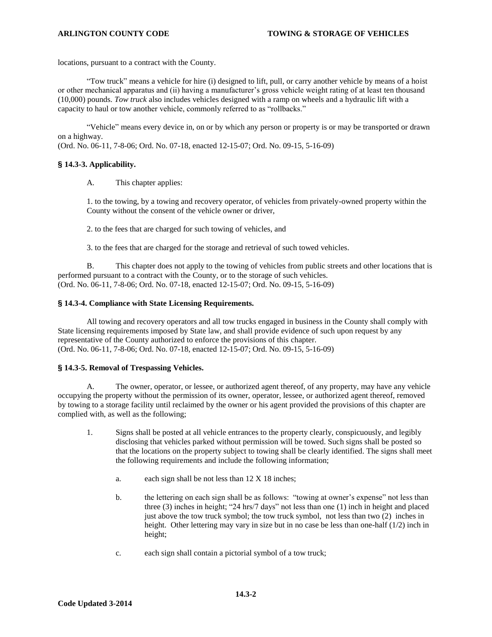locations, pursuant to a contract with the County.

"Tow truck" means a vehicle for hire (i) designed to lift, pull, or carry another vehicle by means of a hoist or other mechanical apparatus and (ii) having a manufacturer's gross vehicle weight rating of at least ten thousand (10,000) pounds. *Tow truck* also includes vehicles designed with a ramp on wheels and a hydraulic lift with a capacity to haul or tow another vehicle, commonly referred to as "rollbacks."

"Vehicle" means every device in, on or by which any person or property is or may be transported or drawn on a highway.

(Ord. No. 06-11, 7-8-06; Ord. No. 07-18, enacted 12-15-07; Ord. No. 09-15, 5-16-09)

# **§ 14.3-3. Applicability.**

A. This chapter applies:

1. to the towing, by a towing and recovery operator, of vehicles from privately-owned property within the County without the consent of the vehicle owner or driver,

2. to the fees that are charged for such towing of vehicles, and

3. to the fees that are charged for the storage and retrieval of such towed vehicles.

B. This chapter does not apply to the towing of vehicles from public streets and other locations that is performed pursuant to a contract with the County, or to the storage of such vehicles. (Ord. No. 06-11, 7-8-06; Ord. No. 07-18, enacted 12-15-07; Ord. No. 09-15, 5-16-09)

# **§ 14.3-4. Compliance with State Licensing Requirements.**

 All towing and recovery operators and all tow trucks engaged in business in the County shall comply with State licensing requirements imposed by State law, and shall provide evidence of such upon request by any representative of the County authorized to enforce the provisions of this chapter. (Ord. No. 06-11, 7-8-06; Ord. No. 07-18, enacted 12-15-07; Ord. No. 09-15, 5-16-09)

# **§ 14.3-5. Removal of Trespassing Vehicles.**

A. The owner, operator, or lessee, or authorized agent thereof, of any property, may have any vehicle occupying the property without the permission of its owner, operator, lessee, or authorized agent thereof, removed by towing to a storage facility until reclaimed by the owner or his agent provided the provisions of this chapter are complied with, as well as the following;

- 1. Signs shall be posted at all vehicle entrances to the property clearly, conspicuously, and legibly disclosing that vehicles parked without permission will be towed. Such signs shall be posted so that the locations on the property subject to towing shall be clearly identified. The signs shall meet the following requirements and include the following information;
	- a. each sign shall be not less than 12 X 18 inches;
	- b. the lettering on each sign shall be as follows: "towing at owner's expense" not less than three (3) inches in height; "24 hrs/7 days" not less than one (1) inch in height and placed just above the tow truck symbol; the tow truck symbol, not less than two (2) inches in height. Other lettering may vary in size but in no case be less than one-half  $(1/2)$  inch in height;
	- c. each sign shall contain a pictorial symbol of a tow truck;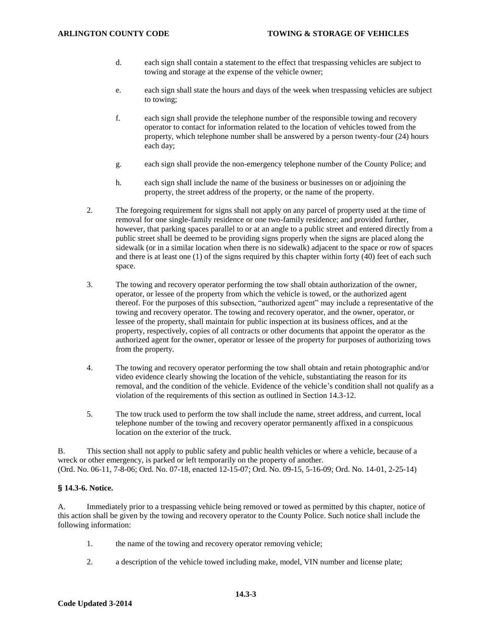- d. each sign shall contain a statement to the effect that trespassing vehicles are subject to towing and storage at the expense of the vehicle owner;
- e. each sign shall state the hours and days of the week when trespassing vehicles are subject to towing;
- f. each sign shall provide the telephone number of the responsible towing and recovery operator to contact for information related to the location of vehicles towed from the property, which telephone number shall be answered by a person twenty-four (24) hours each day;
- g. each sign shall provide the non-emergency telephone number of the County Police; and
- h. each sign shall include the name of the business or businesses on or adjoining the property, the street address of the property, or the name of the property.
- 2. The foregoing requirement for signs shall not apply on any parcel of property used at the time of removal for one single-family residence or one two-family residence; and provided further, however, that parking spaces parallel to or at an angle to a public street and entered directly from a public street shall be deemed to be providing signs properly when the signs are placed along the sidewalk (or in a similar location when there is no sidewalk) adjacent to the space or row of spaces and there is at least one (1) of the signs required by this chapter within forty (40) feet of each such space.
- 3. The towing and recovery operator performing the tow shall obtain authorization of the owner, operator, or lessee of the property from which the vehicle is towed, or the authorized agent thereof. For the purposes of this subsection, "authorized agent" may include a representative of the towing and recovery operator. The towing and recovery operator, and the owner, operator, or lessee of the property, shall maintain for public inspection at its business offices, and at the property, respectively, copies of all contracts or other documents that appoint the operator as the authorized agent for the owner, operator or lessee of the property for purposes of authorizing tows from the property.
- 4. The towing and recovery operator performing the tow shall obtain and retain photographic and/or video evidence clearly showing the location of the vehicle, substantiating the reason for its removal, and the condition of the vehicle. Evidence of the vehicle's condition shall not qualify as a violation of the requirements of this section as outlined in Section 14.3-12.
- 5. The tow truck used to perform the tow shall include the name, street address, and current, local telephone number of the towing and recovery operator permanently affixed in a conspicuous location on the exterior of the truck.

B. This section shall not apply to public safety and public health vehicles or where a vehicle, because of a wreck or other emergency, is parked or left temporarily on the property of another. (Ord. No. 06-11, 7-8-06; Ord. No. 07-18, enacted 12-15-07; Ord. No. 09-15, 5-16-09; Ord. No. 14-01, 2-25-14)

### **§ 14.3-6. Notice.**

A. Immediately prior to a trespassing vehicle being removed or towed as permitted by this chapter, notice of this action shall be given by the towing and recovery operator to the County Police. Such notice shall include the following information:

- 1. the name of the towing and recovery operator removing vehicle;
- 2. a description of the vehicle towed including make, model, VIN number and license plate;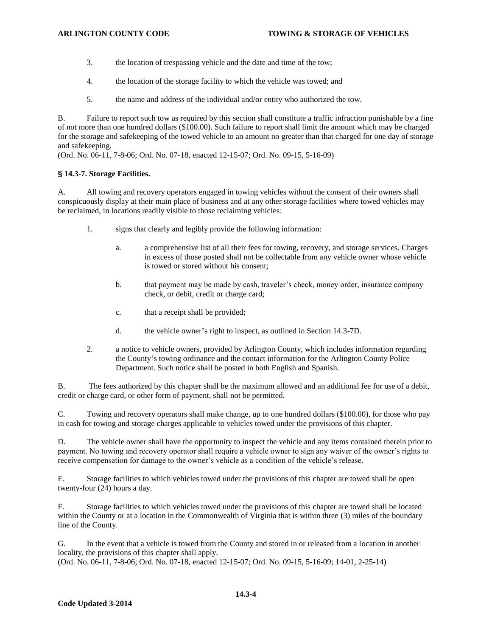- 3. the location of trespassing vehicle and the date and time of the tow;
- 4. the location of the storage facility to which the vehicle was towed; and
- 5. the name and address of the individual and/or entity who authorized the tow.

B. Failure to report such tow as required by this section shall constitute a traffic infraction punishable by a fine of not more than one hundred dollars (\$100.00). Such failure to report shall limit the amount which may be charged for the storage and safekeeping of the towed vehicle to an amount no greater than that charged for one day of storage and safekeeping.

(Ord. No. 06-11, 7-8-06; Ord. No. 07-18, enacted 12-15-07; Ord. No. 09-15, 5-16-09)

# **§ 14.3-7. Storage Facilities.**

A. All towing and recovery operators engaged in towing vehicles without the consent of their owners shall conspicuously display at their main place of business and at any other storage facilities where towed vehicles may be reclaimed, in locations readily visible to those reclaiming vehicles:

- 1. signs that clearly and legibly provide the following information:
	- a. a comprehensive list of all their fees for towing, recovery, and storage services. Charges in excess of those posted shall not be collectable from any vehicle owner whose vehicle is towed or stored without his consent;
	- b. that payment may be made by cash, traveler's check, money order, insurance company check, or debit, credit or charge card;
	- c. that a receipt shall be provided;
	- d. the vehicle owner's right to inspect, as outlined in Section 14.3-7D.
- 2. a notice to vehicle owners, provided by Arlington County, which includes information regarding the County's towing ordinance and the contact information for the Arlington County Police Department. Such notice shall be posted in both English and Spanish.

B. The fees authorized by this chapter shall be the maximum allowed and an additional fee for use of a debit, credit or charge card, or other form of payment, shall not be permitted.

C. Towing and recovery operators shall make change, up to one hundred dollars (\$100.00), for those who pay in cash for towing and storage charges applicable to vehicles towed under the provisions of this chapter.

D. The vehicle owner shall have the opportunity to inspect the vehicle and any items contained therein prior to payment. No towing and recovery operator shall require a vehicle owner to sign any waiver of the owner's rights to receive compensation for damage to the owner's vehicle as a condition of the vehicle's release.

E. Storage facilities to which vehicles towed under the provisions of this chapter are towed shall be open twenty-four (24) hours a day.

F. Storage facilities to which vehicles towed under the provisions of this chapter are towed shall be located within the County or at a location in the Commonwealth of Virginia that is within three (3) miles of the boundary line of the County.

G. In the event that a vehicle is towed from the County and stored in or released from a location in another locality, the provisions of this chapter shall apply.

(Ord. No. 06-11, 7-8-06; Ord. No. 07-18, enacted 12-15-07; Ord. No. 09-15, 5-16-09; 14-01, 2-25-14)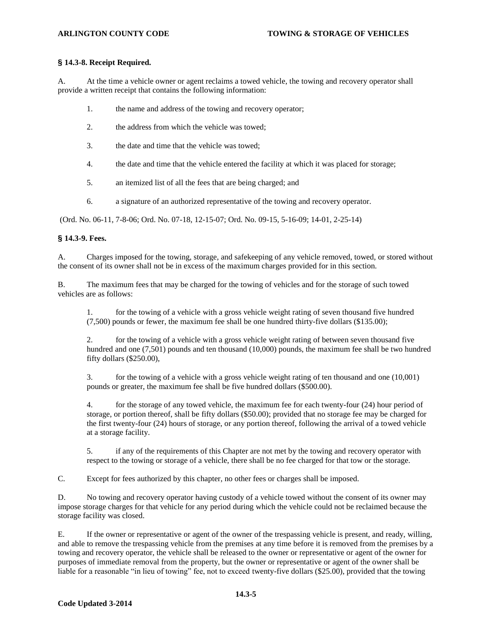# **§ 14.3-8. Receipt Required.**

A. At the time a vehicle owner or agent reclaims a towed vehicle, the towing and recovery operator shall provide a written receipt that contains the following information:

- 1. the name and address of the towing and recovery operator;
- 2. the address from which the vehicle was towed;
- 3. the date and time that the vehicle was towed;
- 4. the date and time that the vehicle entered the facility at which it was placed for storage;
- 5. an itemized list of all the fees that are being charged; and
- 6. a signature of an authorized representative of the towing and recovery operator.

(Ord. No. 06-11, 7-8-06; Ord. No. 07-18, 12-15-07; Ord. No. 09-15, 5-16-09; 14-01, 2-25-14)

# **§ 14.3-9. Fees.**

A. Charges imposed for the towing, storage, and safekeeping of any vehicle removed, towed, or stored without the consent of its owner shall not be in excess of the maximum charges provided for in this section.

B. The maximum fees that may be charged for the towing of vehicles and for the storage of such towed vehicles are as follows:

1. for the towing of a vehicle with a gross vehicle weight rating of seven thousand five hundred (7,500) pounds or fewer, the maximum fee shall be one hundred thirty-five dollars (\$135.00);

2. for the towing of a vehicle with a gross vehicle weight rating of between seven thousand five hundred and one (7,501) pounds and ten thousand (10,000) pounds, the maximum fee shall be two hundred fifty dollars (\$250.00),

3. for the towing of a vehicle with a gross vehicle weight rating of ten thousand and one (10,001) pounds or greater, the maximum fee shall be five hundred dollars (\$500.00).

4. for the storage of any towed vehicle, the maximum fee for each twenty-four (24) hour period of storage, or portion thereof, shall be fifty dollars (\$50.00); provided that no storage fee may be charged for the first twenty-four (24) hours of storage, or any portion thereof, following the arrival of a towed vehicle at a storage facility.

5. if any of the requirements of this Chapter are not met by the towing and recovery operator with respect to the towing or storage of a vehicle, there shall be no fee charged for that tow or the storage.

C. Except for fees authorized by this chapter, no other fees or charges shall be imposed.

D. No towing and recovery operator having custody of a vehicle towed without the consent of its owner may impose storage charges for that vehicle for any period during which the vehicle could not be reclaimed because the storage facility was closed.

E. If the owner or representative or agent of the owner of the trespassing vehicle is present, and ready, willing, and able to remove the trespassing vehicle from the premises at any time before it is removed from the premises by a towing and recovery operator, the vehicle shall be released to the owner or representative or agent of the owner for purposes of immediate removal from the property, but the owner or representative or agent of the owner shall be liable for a reasonable "in lieu of towing" fee, not to exceed twenty-five dollars (\$25.00), provided that the towing